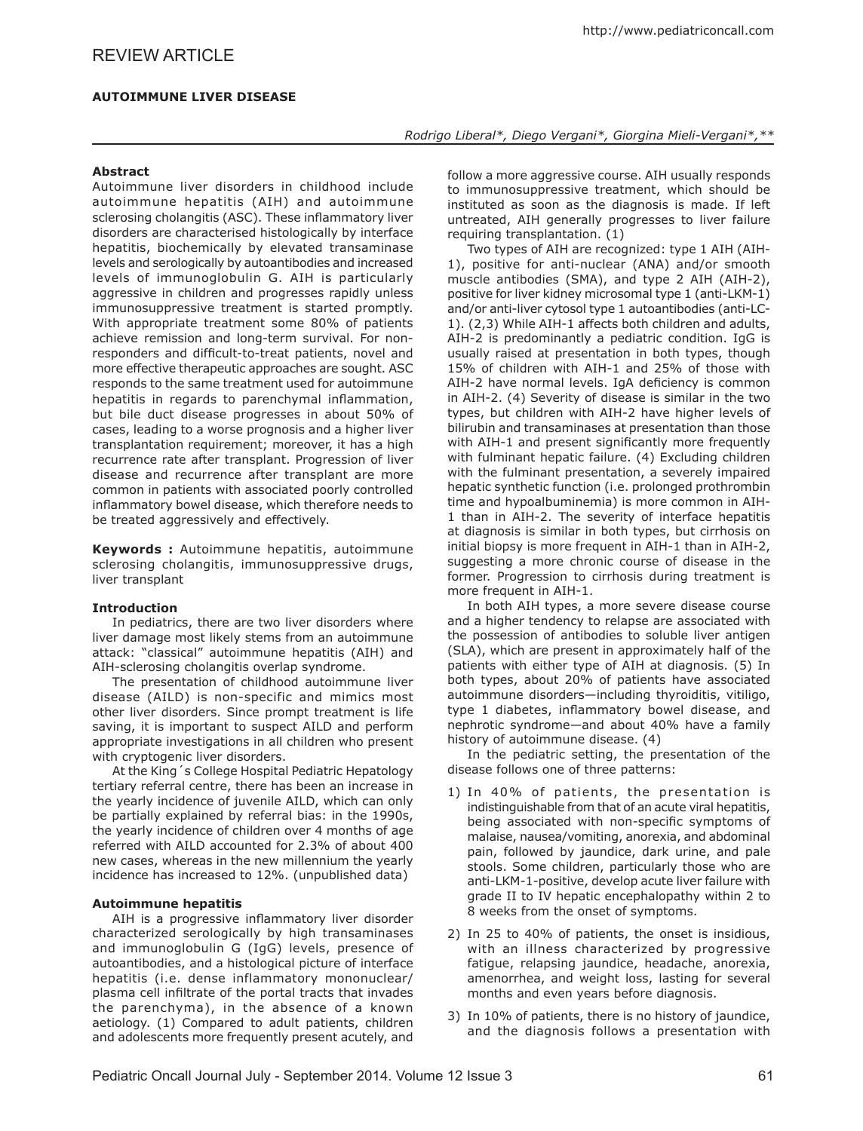# *Rodrigo Liberal\*, Diego Vergani\*, Giorgina Mieli-Vergani\*,\*\**

# **Abstract**

Autoimmune liver disorders in childhood include autoimmune hepatitis (AIH) and autoimmune sclerosing cholangitis (ASC). These inflammatory liver disorders are characterised histologically by interface hepatitis, biochemically by elevated transaminase levels and serologically by autoantibodies and increased levels of immunoglobulin G. AIH is particularly aggressive in children and progresses rapidly unless immunosuppressive treatment is started promptly. With appropriate treatment some 80% of patients achieve remission and long-term survival. For nonresponders and difficult-to-treat patients, novel and more effective therapeutic approaches are sought. ASC responds to the same treatment used for autoimmune hepatitis in regards to parenchymal inflammation, but bile duct disease progresses in about 50% of cases, leading to a worse prognosis and a higher liver transplantation requirement; moreover, it has a high recurrence rate after transplant. Progression of liver disease and recurrence after transplant are more common in patients with associated poorly controlled inflammatory bowel disease, which therefore needs to be treated aggressively and effectively.

**Keywords :** Autoimmune hepatitis, autoimmune sclerosing cholangitis, immunosuppressive drugs, liver transplant

# **Introduction**

In pediatrics, there are two liver disorders where liver damage most likely stems from an autoimmune attack: "classical" autoimmune hepatitis (AIH) and AIH-sclerosing cholangitis overlap syndrome.

The presentation of childhood autoimmune liver disease (AILD) is non-specific and mimics most other liver disorders. Since prompt treatment is life saving, it is important to suspect AILD and perform appropriate investigations in all children who present with cryptogenic liver disorders.

At the King´s College Hospital Pediatric Hepatology tertiary referral centre, there has been an increase in the yearly incidence of juvenile AILD, which can only be partially explained by referral bias: in the 1990s, the yearly incidence of children over 4 months of age referred with AILD accounted for 2.3% of about 400 new cases, whereas in the new millennium the yearly incidence has increased to 12%. (unpublished data)

#### **Autoimmune hepatitis**

AIH is a progressive inflammatory liver disorder characterized serologically by high transaminases and immunoglobulin G (IgG) levels, presence of autoantibodies, and a histological picture of interface hepatitis (i.e. dense inflammatory mononuclear/ plasma cell infiltrate of the portal tracts that invades the parenchyma), in the absence of a known aetiology. (1) Compared to adult patients, children and adolescents more frequently present acutely, and follow a more aggressive course. AIH usually responds to immunosuppressive treatment, which should be instituted as soon as the diagnosis is made. If left untreated, AIH generally progresses to liver failure requiring transplantation. (1)

Two types of AIH are recognized: type 1 AIH (AIH-1), positive for anti-nuclear (ANA) and/or smooth muscle antibodies (SMA), and type 2 AIH (AIH-2), positive for liver kidney microsomal type 1 (anti-LKM-1) and/or anti-liver cytosol type 1 autoantibodies (anti-LC-1). (2,3) While AIH-1 affects both children and adults, AIH-2 is predominantly a pediatric condition. IgG is usually raised at presentation in both types, though 15% of children with AIH-1 and 25% of those with AIH-2 have normal levels. IgA deficiency is common in AIH-2. (4) Severity of disease is similar in the two types, but children with AIH-2 have higher levels of bilirubin and transaminases at presentation than those with AIH-1 and present significantly more frequently with fulminant hepatic failure. (4) Excluding children with the fulminant presentation, a severely impaired hepatic synthetic function (i.e. prolonged prothrombin time and hypoalbuminemia) is more common in AIH-1 than in AIH-2. The severity of interface hepatitis at diagnosis is similar in both types, but cirrhosis on initial biopsy is more frequent in AIH-1 than in AIH-2, suggesting a more chronic course of disease in the former. Progression to cirrhosis during treatment is more frequent in AIH-1.

In both AIH types, a more severe disease course and a higher tendency to relapse are associated with the possession of antibodies to soluble liver antigen (SLA), which are present in approximately half of the patients with either type of AIH at diagnosis. (5) In both types, about 20% of patients have associated autoimmune disorders—including thyroiditis, vitiligo, type 1 diabetes, inflammatory bowel disease, and nephrotic syndrome—and about 40% have a family history of autoimmune disease. (4)

In the pediatric setting, the presentation of the disease follows one of three patterns:

- 1) In 40% of patients, the presentation is indistinguishable from that of an acute viral hepatitis, being associated with non-specific symptoms of malaise, nausea/vomiting, anorexia, and abdominal pain, followed by jaundice, dark urine, and pale stools. Some children, particularly those who are anti-LKM-1-positive, develop acute liver failure with grade II to IV hepatic encephalopathy within 2 to 8 weeks from the onset of symptoms.
- 2) In 25 to 40% of patients, the onset is insidious, with an illness characterized by progressive fatigue, relapsing jaundice, headache, anorexia, amenorrhea, and weight loss, lasting for several months and even years before diagnosis.
- 3) In 10% of patients, there is no history of jaundice, and the diagnosis follows a presentation with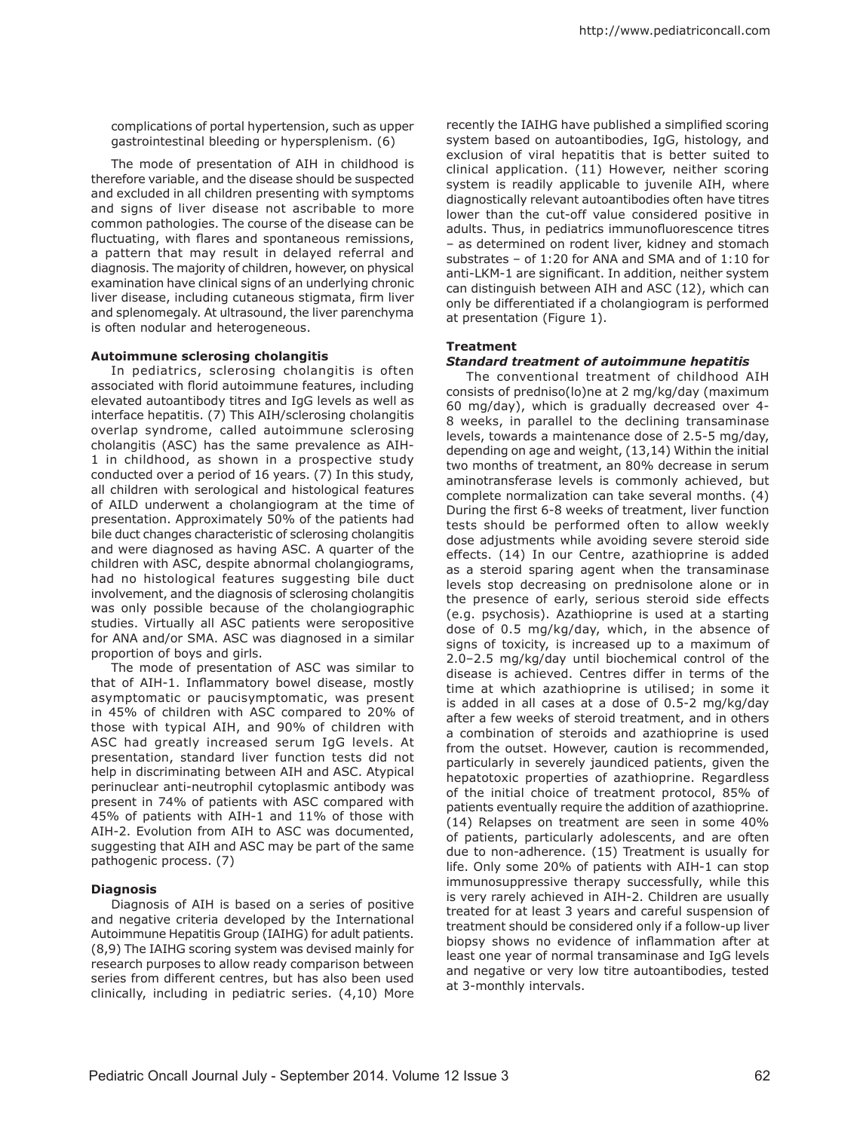complications of portal hypertension, such as upper gastrointestinal bleeding or hypersplenism. (6)

The mode of presentation of AIH in childhood is therefore variable, and the disease should be suspected and excluded in all children presenting with symptoms and signs of liver disease not ascribable to more common pathologies. The course of the disease can be fluctuating, with flares and spontaneous remissions, a pattern that may result in delayed referral and diagnosis. The majority of children, however, on physical examination have clinical signs of an underlying chronic liver disease, including cutaneous stigmata, firm liver and splenomegaly. At ultrasound, the liver parenchyma is often nodular and heterogeneous.

## **Autoimmune sclerosing cholangitis**

In pediatrics, sclerosing cholangitis is often associated with florid autoimmune features, including elevated autoantibody titres and IgG levels as well as interface hepatitis. (7) This AIH/sclerosing cholangitis overlap syndrome, called autoimmune sclerosing cholangitis (ASC) has the same prevalence as AIH-1 in childhood, as shown in a prospective study conducted over a period of 16 years. (7) In this study, all children with serological and histological features of AILD underwent a cholangiogram at the time of presentation. Approximately 50% of the patients had bile duct changes characteristic of sclerosing cholangitis and were diagnosed as having ASC. A quarter of the children with ASC, despite abnormal cholangiograms, had no histological features suggesting bile duct involvement, and the diagnosis of sclerosing cholangitis was only possible because of the cholangiographic studies. Virtually all ASC patients were seropositive for ANA and/or SMA. ASC was diagnosed in a similar proportion of boys and girls.

The mode of presentation of ASC was similar to that of AIH-1. Inflammatory bowel disease, mostly asymptomatic or paucisymptomatic, was present in 45% of children with ASC compared to 20% of those with typical AIH, and 90% of children with ASC had greatly increased serum IgG levels. At presentation, standard liver function tests did not help in discriminating between AIH and ASC. Atypical perinuclear anti-neutrophil cytoplasmic antibody was present in 74% of patients with ASC compared with 45% of patients with AIH-1 and 11% of those with AIH-2. Evolution from AIH to ASC was documented, suggesting that AIH and ASC may be part of the same pathogenic process. (7)

#### **Diagnosis**

Diagnosis of AIH is based on a series of positive and negative criteria developed by the International Autoimmune Hepatitis Group (IAIHG) for adult patients. (8,9) The IAIHG scoring system was devised mainly for research purposes to allow ready comparison between series from different centres, but has also been used clinically, including in pediatric series. (4,10) More recently the IAIHG have published a simplified scoring system based on autoantibodies, IgG, histology, and exclusion of viral hepatitis that is better suited to clinical application. (11) However, neither scoring system is readily applicable to juvenile AIH, where diagnostically relevant autoantibodies often have titres lower than the cut-off value considered positive in adults. Thus, in pediatrics immunofluorescence titres – as determined on rodent liver, kidney and stomach substrates – of 1:20 for ANA and SMA and of 1:10 for anti-LKM-1 are significant. In addition, neither system can distinguish between AIH and ASC (12), which can only be differentiated if a cholangiogram is performed at presentation (Figure 1).

# **Treatment**

## *Standard treatment of autoimmune hepatitis*

The conventional treatment of childhood AIH consists of predniso(lo)ne at 2 mg/kg/day (maximum 60 mg/day), which is gradually decreased over 4- 8 weeks, in parallel to the declining transaminase levels, towards a maintenance dose of 2.5-5 mg/day, depending on age and weight, (13,14) Within the initial two months of treatment, an 80% decrease in serum aminotransferase levels is commonly achieved, but complete normalization can take several months. (4) During the first 6-8 weeks of treatment, liver function tests should be performed often to allow weekly dose adjustments while avoiding severe steroid side effects. (14) In our Centre, azathioprine is added as a steroid sparing agent when the transaminase levels stop decreasing on prednisolone alone or in the presence of early, serious steroid side effects (e.g. psychosis). Azathioprine is used at a starting dose of 0.5 mg/kg/day, which, in the absence of signs of toxicity, is increased up to a maximum of 2.0–2.5 mg/kg/day until biochemical control of the disease is achieved. Centres differ in terms of the time at which azathioprine is utilised; in some it is added in all cases at a dose of 0.5-2 mg/kg/day after a few weeks of steroid treatment, and in others a combination of steroids and azathioprine is used from the outset. However, caution is recommended, particularly in severely jaundiced patients, given the hepatotoxic properties of azathioprine. Regardless of the initial choice of treatment protocol, 85% of patients eventually require the addition of azathioprine. (14) Relapses on treatment are seen in some 40% of patients, particularly adolescents, and are often due to non-adherence. (15) Treatment is usually for life. Only some 20% of patients with AIH-1 can stop immunosuppressive therapy successfully, while this is very rarely achieved in AIH-2. Children are usually treated for at least 3 years and careful suspension of treatment should be considered only if a follow-up liver biopsy shows no evidence of inflammation after at least one year of normal transaminase and IgG levels and negative or very low titre autoantibodies, tested at 3-monthly intervals.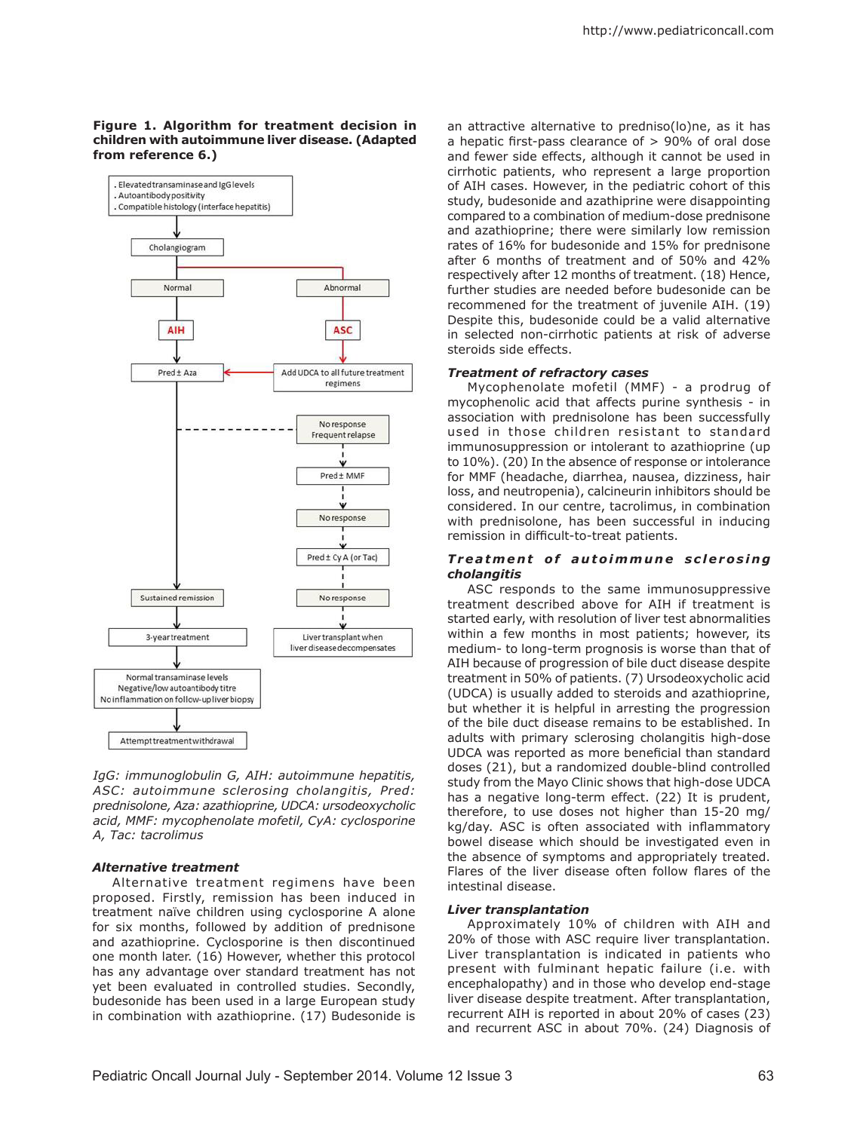### **Figure 1. Algorithm for treatment decision in children with autoimmune liver disease. (Adapted from reference 6.)**



*IgG: immunoglobulin G, AIH: autoimmune hepatitis, ASC: autoimmune sclerosing cholangitis, Pred: prednisolone, Aza: azathioprine, UDCA: ursodeoxycholic acid, MMF: mycophenolate mofetil, CyA: cyclosporine A, Tac: tacrolimus*

## *Alternative treatment*

Alternative treatment regimens have been proposed. Firstly, remission has been induced in treatment naïve children using cyclosporine A alone for six months, followed by addition of prednisone and azathioprine. Cyclosporine is then discontinued one month later. (16) However, whether this protocol has any advantage over standard treatment has not yet been evaluated in controlled studies. Secondly, budesonide has been used in a large European study in combination with azathioprine. (17) Budesonide is

an attractive alternative to predniso(lo)ne, as it has a hepatic first-pass clearance of > 90% of oral dose and fewer side effects, although it cannot be used in cirrhotic patients, who represent a large proportion of AIH cases. However, in the pediatric cohort of this study, budesonide and azathiprine were disappointing compared to a combination of medium-dose prednisone and azathioprine; there were similarly low remission rates of 16% for budesonide and 15% for prednisone after 6 months of treatment and of 50% and 42% respectively after 12 months of treatment. (18) Hence, further studies are needed before budesonide can be recommened for the treatment of juvenile AIH. (19) Despite this, budesonide could be a valid alternative in selected non-cirrhotic patients at risk of adverse steroids side effects.

#### *Treatment of refractory cases*

Mycophenolate mofetil (MMF) - a prodrug of mycophenolic acid that affects purine synthesis - in association with prednisolone has been successfully used in those children resistant to standard immunosuppression or intolerant to azathioprine (up to 10%). (20) In the absence of response or intolerance for MMF (headache, diarrhea, nausea, dizziness, hair loss, and neutropenia), calcineurin inhibitors should be considered. In our centre, tacrolimus, in combination with prednisolone, has been successful in inducing remission in difficult-to-treat patients.

#### **Treatment of autoimmune sclerosing** *cholangitis*

ASC responds to the same immunosuppressive treatment described above for AIH if treatment is started early, with resolution of liver test abnormalities within a few months in most patients; however, its medium- to long-term prognosis is worse than that of AIH because of progression of bile duct disease despite treatment in 50% of patients. (7) Ursodeoxycholic acid (UDCA) is usually added to steroids and azathioprine, but whether it is helpful in arresting the progression of the bile duct disease remains to be established. In adults with primary sclerosing cholangitis high-dose UDCA was reported as more beneficial than standard doses (21), but a randomized double-blind controlled study from the Mayo Clinic shows that high-dose UDCA has a negative long-term effect. (22) It is prudent, therefore, to use doses not higher than 15-20 mg/ kg/day. ASC is often associated with inflammatory bowel disease which should be investigated even in the absence of symptoms and appropriately treated. Flares of the liver disease often follow flares of the intestinal disease.

## *Liver transplantation*

Approximately 10% of children with AIH and 20% of those with ASC require liver transplantation. Liver transplantation is indicated in patients who present with fulminant hepatic failure (i.e. with encephalopathy) and in those who develop end-stage liver disease despite treatment. After transplantation, recurrent AIH is reported in about 20% of cases (23) and recurrent ASC in about 70%. (24) Diagnosis of